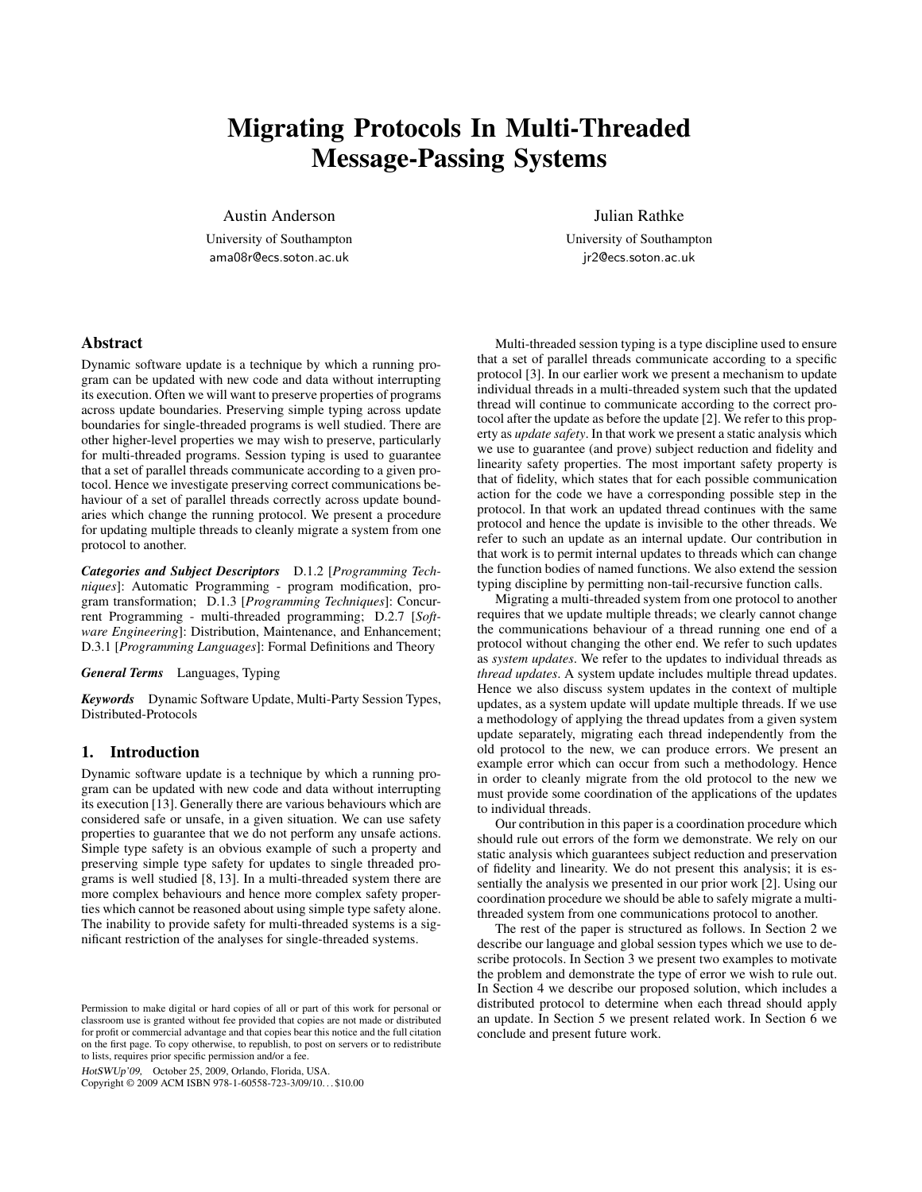# Migrating Protocols In Multi-Threaded Message-Passing Systems

Austin Anderson

University of Southampton ama08r@ecs.soton.ac.uk

Julian Rathke

University of Southampton jr2@ecs.soton.ac.uk

## Abstract

Dynamic software update is a technique by which a running program can be updated with new code and data without interrupting its execution. Often we will want to preserve properties of programs across update boundaries. Preserving simple typing across update boundaries for single-threaded programs is well studied. There are other higher-level properties we may wish to preserve, particularly for multi-threaded programs. Session typing is used to guarantee that a set of parallel threads communicate according to a given protocol. Hence we investigate preserving correct communications behaviour of a set of parallel threads correctly across update boundaries which change the running protocol. We present a procedure for updating multiple threads to cleanly migrate a system from one protocol to another.

*Categories and Subject Descriptors* D.1.2 [*Programming Techniques*]: Automatic Programming - program modification, program transformation; D.1.3 [*Programming Techniques*]: Concurrent Programming - multi-threaded programming; D.2.7 [*Software Engineering*]: Distribution, Maintenance, and Enhancement; D.3.1 [*Programming Languages*]: Formal Definitions and Theory

*General Terms* Languages, Typing

*Keywords* Dynamic Software Update, Multi-Party Session Types, Distributed-Protocols

## 1. Introduction

Dynamic software update is a technique by which a running program can be updated with new code and data without interrupting its execution [13]. Generally there are various behaviours which are considered safe or unsafe, in a given situation. We can use safety properties to guarantee that we do not perform any unsafe actions. Simple type safety is an obvious example of such a property and preserving simple type safety for updates to single threaded programs is well studied [8, 13]. In a multi-threaded system there are more complex behaviours and hence more complex safety properties which cannot be reasoned about using simple type safety alone. The inability to provide safety for multi-threaded systems is a significant restriction of the analyses for single-threaded systems.

HotSWUp'09, October 25, 2009, Orlando, Florida, USA.

Copyright © 2009 ACM ISBN 978-1-60558-723-3/09/10. . . \$10.00

Multi-threaded session typing is a type discipline used to ensure that a set of parallel threads communicate according to a specific protocol [3]. In our earlier work we present a mechanism to update individual threads in a multi-threaded system such that the updated thread will continue to communicate according to the correct protocol after the update as before the update [2]. We refer to this property as *update safety*. In that work we present a static analysis which we use to guarantee (and prove) subject reduction and fidelity and linearity safety properties. The most important safety property is that of fidelity, which states that for each possible communication action for the code we have a corresponding possible step in the protocol. In that work an updated thread continues with the same protocol and hence the update is invisible to the other threads. We refer to such an update as an internal update. Our contribution in that work is to permit internal updates to threads which can change the function bodies of named functions. We also extend the session typing discipline by permitting non-tail-recursive function calls.

Migrating a multi-threaded system from one protocol to another requires that we update multiple threads; we clearly cannot change the communications behaviour of a thread running one end of a protocol without changing the other end. We refer to such updates as *system updates*. We refer to the updates to individual threads as *thread updates*. A system update includes multiple thread updates. Hence we also discuss system updates in the context of multiple updates, as a system update will update multiple threads. If we use a methodology of applying the thread updates from a given system update separately, migrating each thread independently from the old protocol to the new, we can produce errors. We present an example error which can occur from such a methodology. Hence in order to cleanly migrate from the old protocol to the new we must provide some coordination of the applications of the updates to individual threads.

Our contribution in this paper is a coordination procedure which should rule out errors of the form we demonstrate. We rely on our static analysis which guarantees subject reduction and preservation of fidelity and linearity. We do not present this analysis; it is essentially the analysis we presented in our prior work [2]. Using our coordination procedure we should be able to safely migrate a multithreaded system from one communications protocol to another.

The rest of the paper is structured as follows. In Section 2 we describe our language and global session types which we use to describe protocols. In Section 3 we present two examples to motivate the problem and demonstrate the type of error we wish to rule out. In Section 4 we describe our proposed solution, which includes a distributed protocol to determine when each thread should apply an update. In Section 5 we present related work. In Section 6 we conclude and present future work.

Permission to make digital or hard copies of all or part of this work for personal or classroom use is granted without fee provided that copies are not made or distributed for profit or commercial advantage and that copies bear this notice and the full citation on the first page. To copy otherwise, to republish, to post on servers or to redistribute to lists, requires prior specific permission and/or a fee.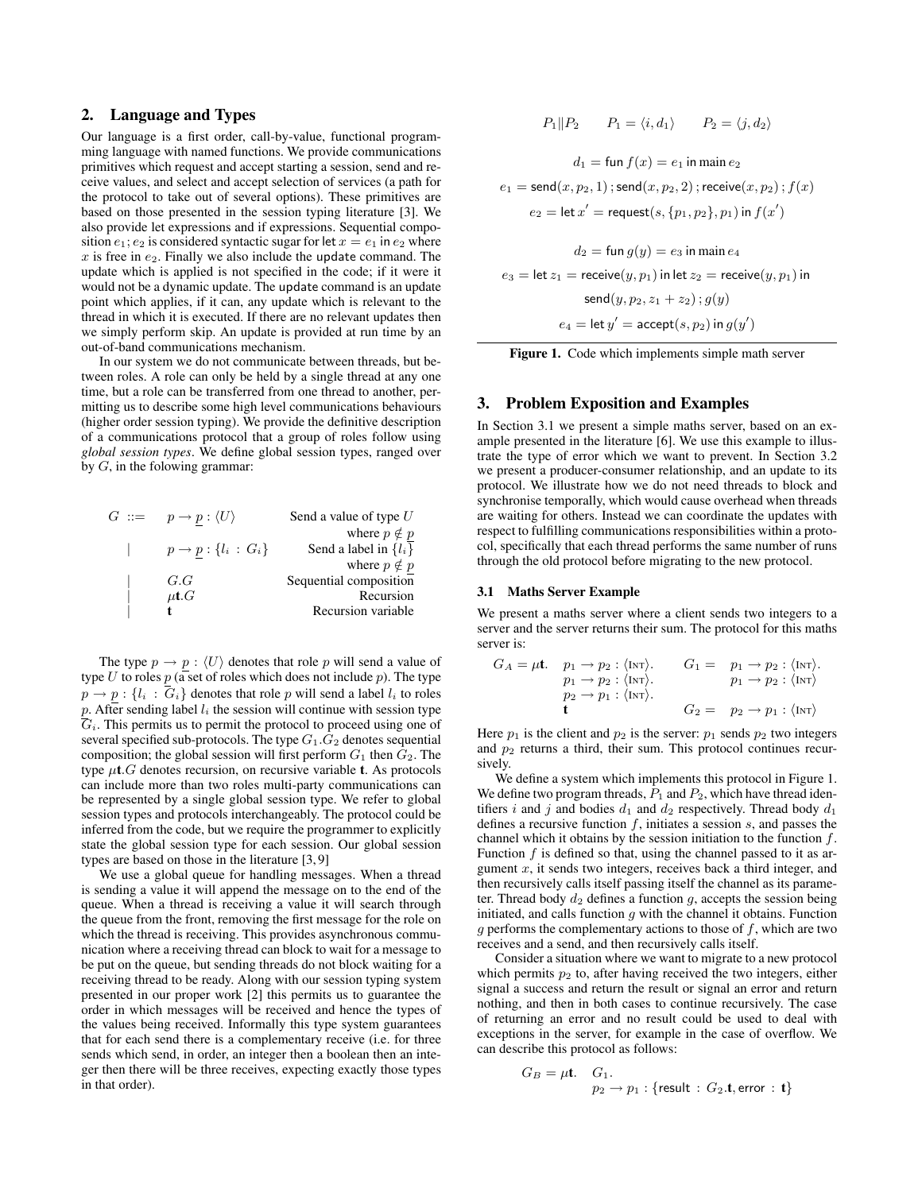# 2. Language and Types

Our language is a first order, call-by-value, functional programming language with named functions. We provide communications primitives which request and accept starting a session, send and receive values, and select and accept selection of services (a path for the protocol to take out of several options). These primitives are based on those presented in the session typing literature [3]. We also provide let expressions and if expressions. Sequential composition  $e_1$ ;  $e_2$  is considered syntactic sugar for let  $x = e_1$  in  $e_2$  where  $x$  is free in  $e_2$ . Finally we also include the update command. The update which is applied is not specified in the code; if it were it would not be a dynamic update. The update command is an update point which applies, if it can, any update which is relevant to the thread in which it is executed. If there are no relevant updates then we simply perform skip. An update is provided at run time by an out-of-band communications mechanism.

In our system we do not communicate between threads, but between roles. A role can only be held by a single thread at any one time, but a role can be transferred from one thread to another, permitting us to describe some high level communications behaviours (higher order session typing). We provide the definitive description of a communications protocol that a group of roles follow using *global session types*. We define global session types, ranged over by  $G$ , in the folowing grammar:

| $G ::= p \rightarrow p : \langle U \rangle$ | Send a value of type $U$  |
|---------------------------------------------|---------------------------|
|                                             | where $p \notin p$        |
| $p \rightarrow p : \{l_i : G_i\}$           | Send a label in $\{l_i\}$ |
|                                             | where $p \notin p$        |
| G.G                                         | Sequential composition    |
| $\mu$ t. $G$                                | Recursion                 |
|                                             | Recursion variable        |
|                                             |                           |

The type  $p \rightarrow p : \langle U \rangle$  denotes that role p will send a value of type  $U$  to roles  $p$  (a set of roles which does not include  $p$ ). The type  $p \rightarrow p : \{l_i : \overline{G}_i\}$  denotes that role p will send a label  $l_i$  to roles  $p$ . After sending label  $l_i$  the session will continue with session type  $\overline{G}_i$ . This permits us to permit the protocol to proceed using one of several specified sub-protocols. The type  $G_1.G_2$  denotes sequential composition; the global session will first perform  $G_1$  then  $G_2$ . The type  $\mu$ t. G denotes recursion, on recursive variable t. As protocols can include more than two roles multi-party communications can be represented by a single global session type. We refer to global session types and protocols interchangeably. The protocol could be inferred from the code, but we require the programmer to explicitly state the global session type for each session. Our global session types are based on those in the literature [3, 9]

We use a global queue for handling messages. When a thread is sending a value it will append the message on to the end of the queue. When a thread is receiving a value it will search through the queue from the front, removing the first message for the role on which the thread is receiving. This provides asynchronous communication where a receiving thread can block to wait for a message to be put on the queue, but sending threads do not block waiting for a receiving thread to be ready. Along with our session typing system presented in our proper work [2] this permits us to guarantee the order in which messages will be received and hence the types of the values being received. Informally this type system guarantees that for each send there is a complementary receive (i.e. for three sends which send, in order, an integer then a boolean then an integer then there will be three receives, expecting exactly those types in that order).

$$
P_1 \| P_2 \qquad P_1 = \langle i, d_1 \rangle \qquad P_2 = \langle j, d_2 \rangle
$$

$$
d_1 = \text{fun } f(x) = e_1 \text{ in main } e_2
$$
\n
$$
e_1 = \text{send}(x, p_2, 1); \text{send}(x, p_2, 2); \text{receive}(x, p_2); f(x)
$$
\n
$$
e_2 = \text{let } x' = \text{request}(s, \{p_1, p_2\}, p_1) \text{ in } f(x')
$$
\n
$$
d_2 = \text{fun } g(y) = e_3 \text{ in main } e_4
$$
\n
$$
e_3 = \text{let } z_1 = \text{receive}(y, p_1) \text{ in let } z_2 = \text{receive}(y, p_1) \text{ in}
$$
\n
$$
\text{send}(y, p_2, z_1 + z_2); g(y)
$$
\n
$$
e_4 = \text{let } y' = \text{accept}(s, p_2) \text{ in } g(y')
$$

| <b>Figure 1.</b> Code which implements simple math server |
|-----------------------------------------------------------|
|-----------------------------------------------------------|

## 3. Problem Exposition and Examples

In Section 3.1 we present a simple maths server, based on an example presented in the literature [6]. We use this example to illustrate the type of error which we want to prevent. In Section 3.2 we present a producer-consumer relationship, and an update to its protocol. We illustrate how we do not need threads to block and synchronise temporally, which would cause overhead when threads are waiting for others. Instead we can coordinate the updates with respect to fulfilling communications responsibilities within a protocol, specifically that each thread performs the same number of runs through the old protocol before migrating to the new protocol.

#### 3.1 Maths Server Example

We present a maths server where a client sends two integers to a server and the server returns their sum. The protocol for this maths server is:

$$
G_A = \mu \mathbf{t}. \quad p_1 \to p_2 : \langle \text{INT} \rangle. \quad G_1 = p_1 \to p_2 : \langle \text{INT} \rangle. \np_1 \to p_2 : \langle \text{INT} \rangle. \quad p_1 \to p_2 : \langle \text{INT} \rangle. \np_2 \to p_1 : \langle \text{INT} \rangle. \nG_2 = p_2 \to p_1 : \langle \text{INT} \rangle.
$$

Here  $p_1$  is the client and  $p_2$  is the server:  $p_1$  sends  $p_2$  two integers and  $p_2$  returns a third, their sum. This protocol continues recursively.

We define a system which implements this protocol in Figure 1. We define two program threads,  $P_1$  and  $P_2$ , which have thread identifiers i and j and bodies  $d_1$  and  $d_2$  respectively. Thread body  $d_1$ defines a recursive function  $f$ , initiates a session  $s$ , and passes the channel which it obtains by the session initiation to the function f. Function  $f$  is defined so that, using the channel passed to it as argument  $x$ , it sends two integers, receives back a third integer, and then recursively calls itself passing itself the channel as its parameter. Thread body  $d_2$  defines a function g, accepts the session being initiated, and calls function  $q$  with the channel it obtains. Function  $g$  performs the complementary actions to those of  $f$ , which are two receives and a send, and then recursively calls itself.

Consider a situation where we want to migrate to a new protocol which permits  $p_2$  to, after having received the two integers, either signal a success and return the result or signal an error and return nothing, and then in both cases to continue recursively. The case of returning an error and no result could be used to deal with exceptions in the server, for example in the case of overflow. We can describe this protocol as follows:

$$
G_B = \mu \mathbf{t}. \quad G_1. p_2 \to p_1 : \{ \text{result} \, : \, G_2. \mathbf{t}, \text{error} \, : \, \mathbf{t} \}
$$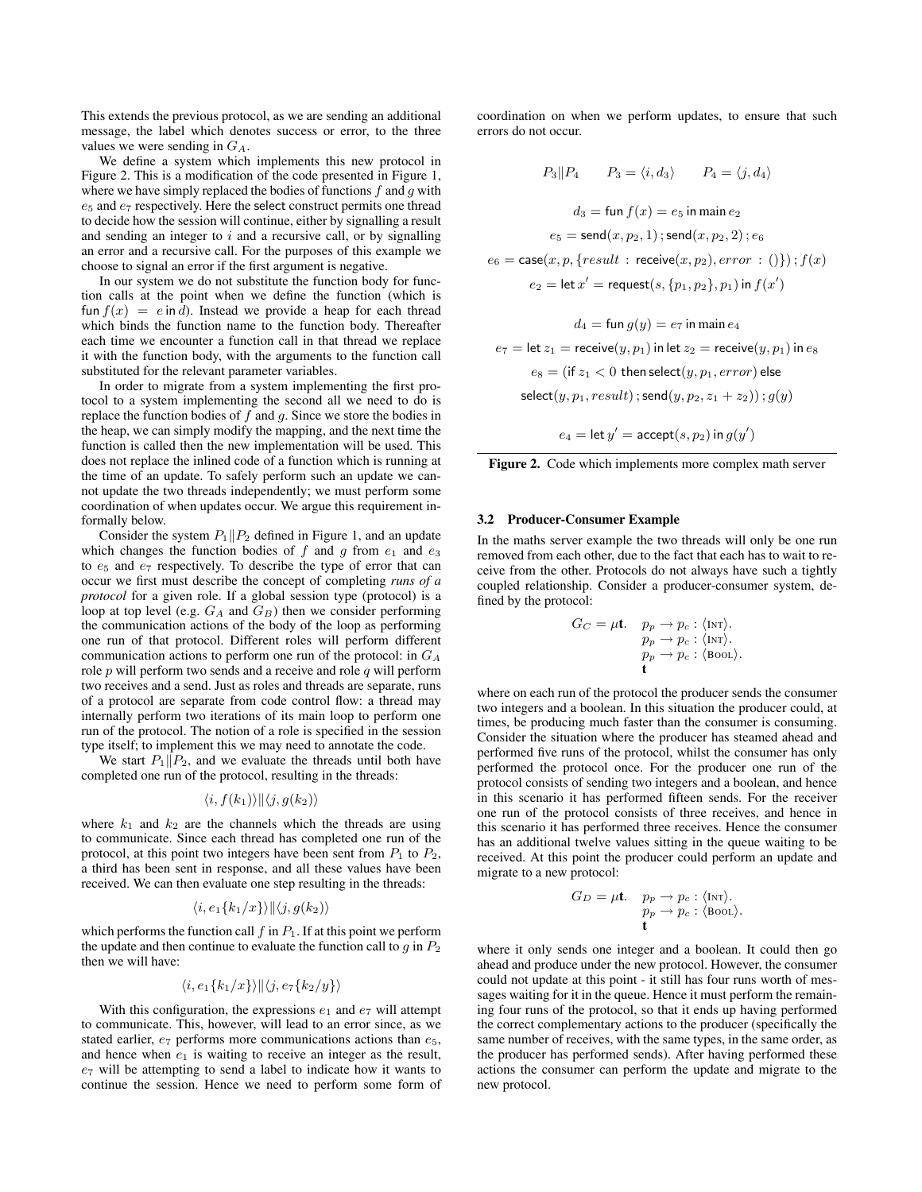This extends the previous protocol, as we are sending an additional message, the label which denotes success or error, to the three values we were sending in  $G_A$ .

We define a system which implements this new protocol in Figure 2. This is a modification of the code presented in Figure 1, where we have simply replaced the bodies of functions  $f$  and  $g$  with e<sup>5</sup> and e<sup>7</sup> respectively. Here the select construct permits one thread to decide how the session will continue, either by signalling a result and sending an integer to  $i$  and a recursive call, or by signalling an error and a recursive call. For the purposes of this example we choose to signal an error if the first argument is negative.

In our system we do not substitute the function body for function calls at the point when we define the function (which is fun  $f(x) = e$  in d). Instead we provide a heap for each thread which binds the function name to the function body. Thereafter each time we encounter a function call in that thread we replace it with the function body, with the arguments to the function call substituted for the relevant parameter variables.

In order to migrate from a system implementing the first protocol to a system implementing the second all we need to do is replace the function bodies of  $f$  and  $g$ . Since we store the bodies in the heap, we can simply modify the mapping, and the next time the function is called then the new implementation will be used. This does not replace the inlined code of a function which is running at the time of an update. To safely perform such an update we cannot update the two threads independently; we must perform some coordination of when updates occur. We argue this requirement informally below.

Consider the system  $P_1||P_2$  defined in Figure 1, and an update which changes the function bodies of f and g from  $e_1$  and  $e_3$ to  $e_5$  and  $e_7$  respectively. To describe the type of error that can occur we first must describe the concept of completing *runs of a protocol* for a given role. If a global session type (protocol) is a loop at top level (e.g.  $G_A$  and  $G_B$ ) then we consider performing the communication actions of the body of the loop as performing one run of that protocol. Different roles will perform different communication actions to perform one run of the protocol: in  $G_A$ role  $p$  will perform two sends and a receive and role  $q$  will perform two receives and a send. Just as roles and threads are separate, runs of a protocol are separate from code control flow: a thread may internally perform two iterations of its main loop to perform one run of the protocol. The notion of a role is specified in the session type itself; to implement this we may need to annotate the code.

We start  $P_1||P_2$ , and we evaluate the threads until both have completed one run of the protocol, resulting in the threads:

$$
\langle i,f(k_1)\rangle\|\langle j,g(k_2)\rangle
$$

where  $k_1$  and  $k_2$  are the channels which the threads are using to communicate. Since each thread has completed one run of the protocol, at this point two integers have been sent from  $P_1$  to  $P_2$ , a third has been sent in response, and all these values have been received. We can then evaluate one step resulting in the threads:

$$
\langle i, e_1\{k_1/x\}\rangle ||\langle j, g(k_2)\rangle
$$

which performs the function call  $f$  in  $P_1$ . If at this point we perform the update and then continue to evaluate the function call to  $q$  in  $P_2$ then we will have:

$$
\langle i, e_1\{k_1/x\}\rangle ||\langle j, e_7\{k_2/y\}\rangle
$$

With this configuration, the expressions  $e_1$  and  $e_7$  will attempt to communicate. This, however, will lead to an error since, as we stated earlier,  $e_7$  performs more communications actions than  $e_5$ , and hence when  $e_1$  is waiting to receive an integer as the result,  $e_7$  will be attempting to send a label to indicate how it wants to continue the session. Hence we need to perform some form of coordination on when we perform updates, to ensure that such errors do not occur.

$$
P_3||P_4 \t P_3 = \langle i, d_3 \rangle \t P_4 = \langle j, d_4 \rangle
$$
  

$$
d_3 = \text{fun } f(x) = e_5 \text{ in main } e_2
$$
  

$$
e_5 = \text{send}(x, p_2, 1); \text{send}(x, p_2, 2); e_6
$$
  

$$
e_6 = \text{case}(x, p, \{result : \text{receive}(x, p_2), error : ()\}); f(x)
$$
  

$$
e_2 = \text{let } x' = \text{request}(s, \{p_1, p_2\}, p_1) \text{ in } f(x')
$$

$$
d_4 = \text{fun } g(y) = e_7 \text{ in main } e_4
$$
\n
$$
e_7 = \text{let } z_1 = \text{receive}(y, p_1) \text{ in let } z_2 = \text{receive}(y, p_1) \text{ in } e_8
$$
\n
$$
e_8 = (\text{if } z_1 < 0 \text{ then select}(y, p_1, error) \text{ else}
$$
\n
$$
\text{select}(y, p_1, result) \, ; \text{send}(y, p_2, z_1 + z_2)) \, ; \, g(y)
$$

 $e_4 = \mathsf{let}\, y' = \mathsf{accept}(s, p_2)$  in  $g(y')$ 

Figure 2. Code which implements more complex math server

#### 3.2 Producer-Consumer Example

In the maths server example the two threads will only be one run removed from each other, due to the fact that each has to wait to receive from the other. Protocols do not always have such a tightly coupled relationship. Consider a producer-consumer system, defined by the protocol:

$$
G_C = \mu \mathbf{t}. \quad p_p \to p_c : \langle \text{Int} \rangle. \n p_p \to p_c : \langle \text{Int} \rangle. \n p_p \to p_c : \langle \text{Bool} \rangle. \n \mathbf{t}
$$

where on each run of the protocol the producer sends the consumer two integers and a boolean. In this situation the producer could, at times, be producing much faster than the consumer is consuming. Consider the situation where the producer has steamed ahead and performed five runs of the protocol, whilst the consumer has only performed the protocol once. For the producer one run of the protocol consists of sending two integers and a boolean, and hence in this scenario it has performed fifteen sends. For the receiver one run of the protocol consists of three receives, and hence in this scenario it has performed three receives. Hence the consumer has an additional twelve values sitting in the queue waiting to be received. At this point the producer could perform an update and migrate to a new protocol:

$$
G_D = \mu \mathbf{t}. \quad p_p \to p_c : \langle \text{INT} \rangle. \n p_p \to p_c : \langle \text{Bool} \rangle. \n \mathbf{t}
$$

where it only sends one integer and a boolean. It could then go ahead and produce under the new protocol. However, the consumer could not update at this point - it still has four runs worth of messages waiting for it in the queue. Hence it must perform the remaining four runs of the protocol, so that it ends up having performed the correct complementary actions to the producer (specifically the same number of receives, with the same types, in the same order, as the producer has performed sends). After having performed these actions the consumer can perform the update and migrate to the new protocol.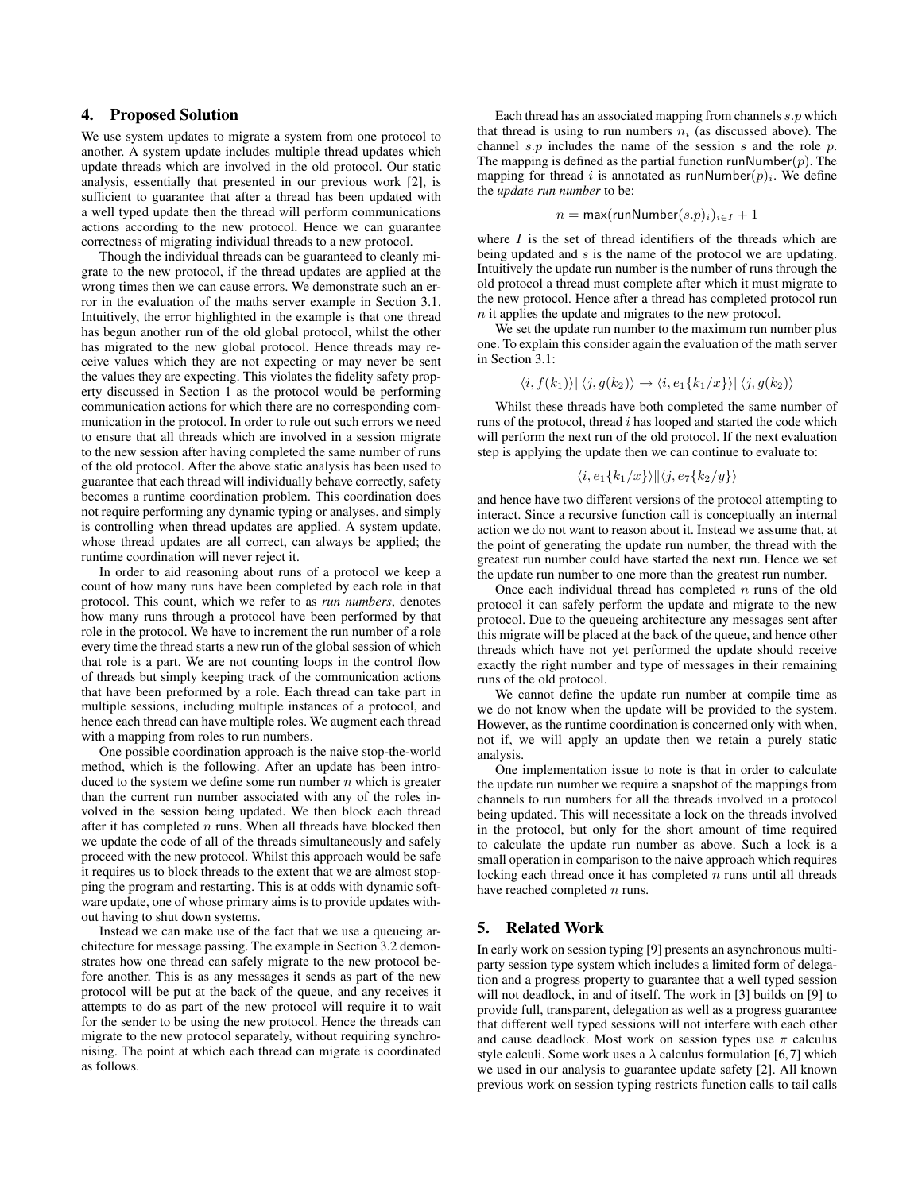## 4. Proposed Solution

We use system updates to migrate a system from one protocol to another. A system update includes multiple thread updates which update threads which are involved in the old protocol. Our static analysis, essentially that presented in our previous work [2], is sufficient to guarantee that after a thread has been updated with a well typed update then the thread will perform communications actions according to the new protocol. Hence we can guarantee correctness of migrating individual threads to a new protocol.

Though the individual threads can be guaranteed to cleanly migrate to the new protocol, if the thread updates are applied at the wrong times then we can cause errors. We demonstrate such an error in the evaluation of the maths server example in Section 3.1. Intuitively, the error highlighted in the example is that one thread has begun another run of the old global protocol, whilst the other has migrated to the new global protocol. Hence threads may receive values which they are not expecting or may never be sent the values they are expecting. This violates the fidelity safety property discussed in Section 1 as the protocol would be performing communication actions for which there are no corresponding communication in the protocol. In order to rule out such errors we need to ensure that all threads which are involved in a session migrate to the new session after having completed the same number of runs of the old protocol. After the above static analysis has been used to guarantee that each thread will individually behave correctly, safety becomes a runtime coordination problem. This coordination does not require performing any dynamic typing or analyses, and simply is controlling when thread updates are applied. A system update, whose thread updates are all correct, can always be applied; the runtime coordination will never reject it.

In order to aid reasoning about runs of a protocol we keep a count of how many runs have been completed by each role in that protocol. This count, which we refer to as *run numbers*, denotes how many runs through a protocol have been performed by that role in the protocol. We have to increment the run number of a role every time the thread starts a new run of the global session of which that role is a part. We are not counting loops in the control flow of threads but simply keeping track of the communication actions that have been preformed by a role. Each thread can take part in multiple sessions, including multiple instances of a protocol, and hence each thread can have multiple roles. We augment each thread with a mapping from roles to run numbers.

One possible coordination approach is the naive stop-the-world method, which is the following. After an update has been introduced to the system we define some run number  $n$  which is greater than the current run number associated with any of the roles involved in the session being updated. We then block each thread after it has completed  $n$  runs. When all threads have blocked then we update the code of all of the threads simultaneously and safely proceed with the new protocol. Whilst this approach would be safe it requires us to block threads to the extent that we are almost stopping the program and restarting. This is at odds with dynamic software update, one of whose primary aims is to provide updates without having to shut down systems.

Instead we can make use of the fact that we use a queueing architecture for message passing. The example in Section 3.2 demonstrates how one thread can safely migrate to the new protocol before another. This is as any messages it sends as part of the new protocol will be put at the back of the queue, and any receives it attempts to do as part of the new protocol will require it to wait for the sender to be using the new protocol. Hence the threads can migrate to the new protocol separately, without requiring synchronising. The point at which each thread can migrate is coordinated as follows.

Each thread has an associated mapping from channels  $s.p$  which that thread is using to run numbers  $n_i$  (as discussed above). The channel  $s.p$  includes the name of the session s and the role p. The mapping is defined as the partial function runNumber $(p)$ . The mapping for thread i is annotated as runNumber $(p)_i$ . We define the *update run number* to be:

$$
n = \max(\text{runNumber}(s.p)_i)_{i \in I} + 1
$$

where  $I$  is the set of thread identifiers of the threads which are being updated and s is the name of the protocol we are updating. Intuitively the update run number is the number of runs through the old protocol a thread must complete after which it must migrate to the new protocol. Hence after a thread has completed protocol run n it applies the update and migrates to the new protocol.

We set the update run number to the maximum run number plus one. To explain this consider again the evaluation of the math server in Section 3.1:

$$
\langle i, f(k_1) \rangle \|\langle j, g(k_2) \rangle \to \langle i, e_1 \{k_1/x\} \rangle \|\langle j, g(k_2) \rangle
$$

Whilst these threads have both completed the same number of runs of the protocol, thread  $i$  has looped and started the code which will perform the next run of the old protocol. If the next evaluation step is applying the update then we can continue to evaluate to:

$$
\langle i, e_1\{k_1/x\}\rangle ||\langle j, e_7\{k_2/y\}\rangle
$$

and hence have two different versions of the protocol attempting to interact. Since a recursive function call is conceptually an internal action we do not want to reason about it. Instead we assume that, at the point of generating the update run number, the thread with the greatest run number could have started the next run. Hence we set the update run number to one more than the greatest run number.

Once each individual thread has completed  $n$  runs of the old protocol it can safely perform the update and migrate to the new protocol. Due to the queueing architecture any messages sent after this migrate will be placed at the back of the queue, and hence other threads which have not yet performed the update should receive exactly the right number and type of messages in their remaining runs of the old protocol.

We cannot define the update run number at compile time as we do not know when the update will be provided to the system. However, as the runtime coordination is concerned only with when, not if, we will apply an update then we retain a purely static analysis.

One implementation issue to note is that in order to calculate the update run number we require a snapshot of the mappings from channels to run numbers for all the threads involved in a protocol being updated. This will necessitate a lock on the threads involved in the protocol, but only for the short amount of time required to calculate the update run number as above. Such a lock is a small operation in comparison to the naive approach which requires locking each thread once it has completed  $n$  runs until all threads have reached completed  $n$  runs.

# 5. Related Work

In early work on session typing [9] presents an asynchronous multiparty session type system which includes a limited form of delegation and a progress property to guarantee that a well typed session will not deadlock, in and of itself. The work in [3] builds on [9] to provide full, transparent, delegation as well as a progress guarantee that different well typed sessions will not interfere with each other and cause deadlock. Most work on session types use  $\pi$  calculus style calculi. Some work uses a  $\lambda$  calculus formulation [6,7] which we used in our analysis to guarantee update safety [2]. All known previous work on session typing restricts function calls to tail calls